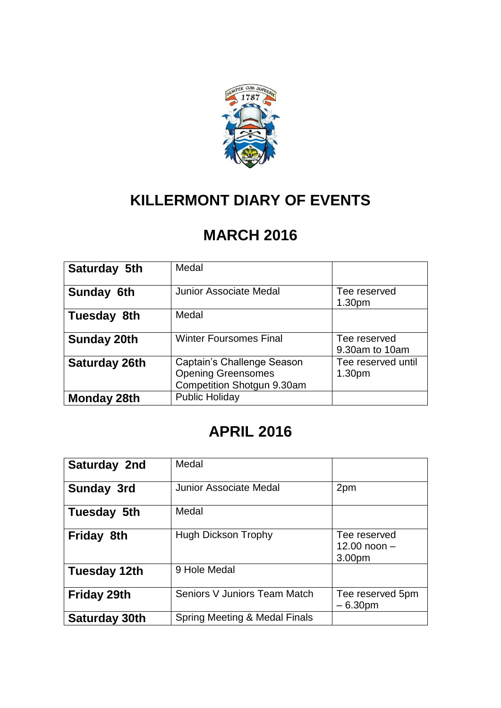

## **KILLERMONT DIARY OF EVENTS**

## **MARCH 2016**

| Saturday 5th         | Medal                                                                                 |                                          |
|----------------------|---------------------------------------------------------------------------------------|------------------------------------------|
| Sunday 6th           | Junior Associate Medal                                                                | Tee reserved<br>1.30 <sub>pm</sub>       |
| Tuesday 8th          | Medal                                                                                 |                                          |
| <b>Sunday 20th</b>   | <b>Winter Foursomes Final</b>                                                         | Tee reserved<br>9.30am to 10am           |
| <b>Saturday 26th</b> | Captain's Challenge Season<br><b>Opening Greensomes</b><br>Competition Shotgun 9.30am | Tee reserved until<br>1.30 <sub>pm</sub> |
| <b>Monday 28th</b>   | <b>Public Holiday</b>                                                                 |                                          |

## **APRIL 2016**

| Saturday 2nd       | Medal                         |                                          |
|--------------------|-------------------------------|------------------------------------------|
| <b>Sunday 3rd</b>  | <b>Junior Associate Medal</b> | 2pm                                      |
| Tuesday 5th        | Medal                         |                                          |
| <b>Friday 8th</b>  | <b>Hugh Dickson Trophy</b>    | Tee reserved<br>12.00 noon $-$<br>3.00pm |
| Tuesday 12th       | 9 Hole Medal                  |                                          |
| <b>Friday 29th</b> | Seniors V Juniors Team Match  | Tee reserved 5pm<br>$-6.30pm$            |
| Saturday 30th      | Spring Meeting & Medal Finals |                                          |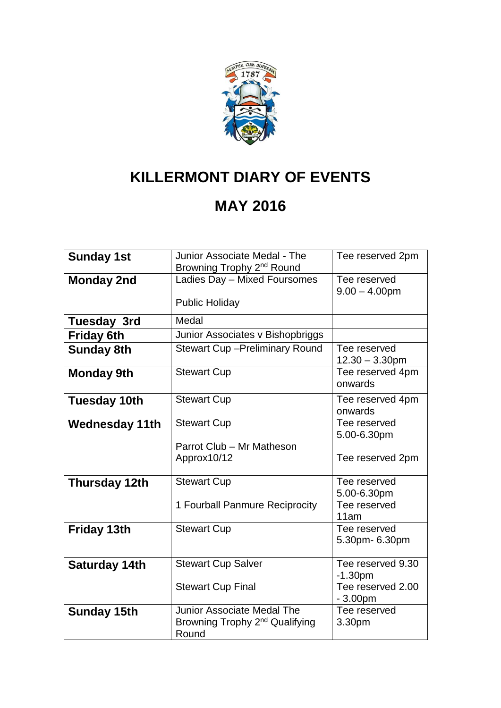

# **KILLERMONT DIARY OF EVENTS**

## **MAY 2016**

| <b>Sunday 1st</b>     | Junior Associate Medal - The<br>Browning Trophy 2 <sup>nd</sup> Round | Tee reserved 2pm                  |
|-----------------------|-----------------------------------------------------------------------|-----------------------------------|
| <b>Monday 2nd</b>     | Ladies Day - Mixed Foursomes                                          | Tee reserved<br>$9.00 - 4.00$ pm  |
|                       | <b>Public Holiday</b>                                                 |                                   |
| <b>Tuesday 3rd</b>    | Medal                                                                 |                                   |
| <b>Friday 6th</b>     | Junior Associates v Bishopbriggs                                      |                                   |
| <b>Sunday 8th</b>     | <b>Stewart Cup-Preliminary Round</b>                                  | Tee reserved<br>$12.30 - 3.30$ pm |
| <b>Monday 9th</b>     | <b>Stewart Cup</b>                                                    | Tee reserved 4pm<br>onwards       |
| <b>Tuesday 10th</b>   | <b>Stewart Cup</b>                                                    | Tee reserved 4pm<br>onwards       |
| <b>Wednesday 11th</b> | <b>Stewart Cup</b>                                                    | Tee reserved<br>5.00-6.30pm       |
|                       | Parrot Club - Mr Matheson<br>Approx10/12                              | Tee reserved 2pm                  |
| <b>Thursday 12th</b>  | <b>Stewart Cup</b>                                                    | Tee reserved                      |
|                       |                                                                       | 5.00-6.30pm                       |
|                       | 1 Fourball Panmure Reciprocity                                        | Tee reserved<br>11am              |
| <b>Friday 13th</b>    | <b>Stewart Cup</b>                                                    | Tee reserved<br>5.30pm- 6.30pm    |
| <b>Saturday 14th</b>  | <b>Stewart Cup Salver</b>                                             | Tee reserved 9.30                 |
|                       |                                                                       | $-1.30pm$                         |
|                       | <b>Stewart Cup Final</b>                                              | Tee reserved 2.00<br>$-3.00pm$    |
| <b>Sunday 15th</b>    | Junior Associate Medal The                                            | Tee reserved                      |
|                       | Browning Trophy 2 <sup>nd</sup> Qualifying<br>Round                   | 3.30pm                            |